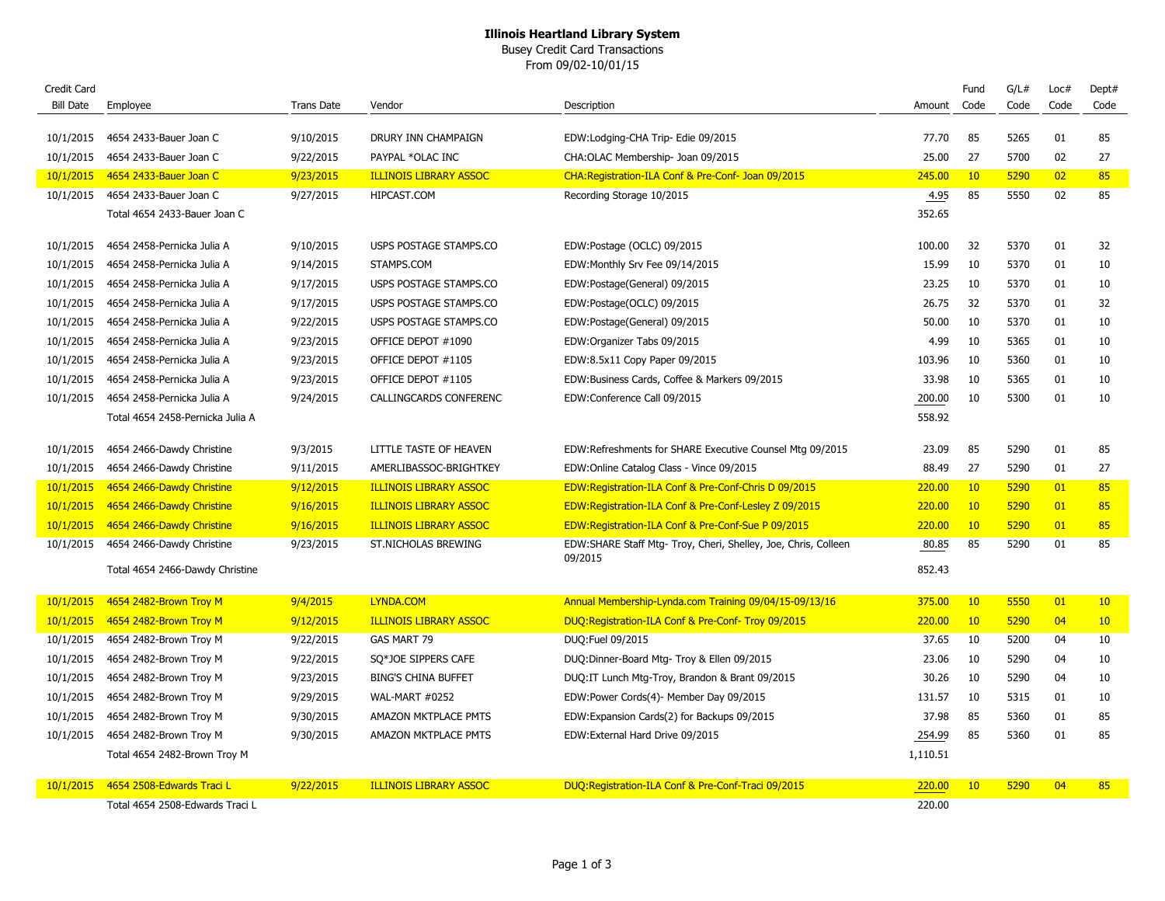## **Illinois Heartland Library System**

Busey Credit Card Transactions From 09/02-10/01/15

| Credit Card      |                                  |                   |                               |                                                                           |          | Fund | G/L# | Loc#            | Dept#           |
|------------------|----------------------------------|-------------------|-------------------------------|---------------------------------------------------------------------------|----------|------|------|-----------------|-----------------|
| <b>Bill Date</b> | Employee                         | <b>Trans Date</b> | Vendor                        | Description                                                               | Amount   | Code | Code | Code            | Code            |
|                  |                                  |                   |                               |                                                                           |          |      |      |                 |                 |
| 10/1/2015        | 4654 2433-Bauer Joan C           | 9/10/2015         | DRURY INN CHAMPAIGN           | EDW:Lodging-CHA Trip- Edie 09/2015                                        | 77.70    | 85   | 5265 | 01              | 85              |
| 10/1/2015        | 4654 2433-Bauer Joan C           | 9/22/2015         | PAYPAL *OLAC INC              | CHA:OLAC Membership- Joan 09/2015                                         | 25.00    | 27   | 5700 | 02              | 27              |
| 10/1/2015        | 4654 2433-Bauer Joan C           | 9/23/2015         | <b>ILLINOIS LIBRARY ASSOC</b> | CHA: Registration-ILA Conf & Pre-Conf- Joan 09/2015                       | 245.00   | 10   | 5290 | 02 <sub>z</sub> | 85              |
| 10/1/2015        | 4654 2433-Bauer Joan C           | 9/27/2015         | HIPCAST.COM                   | Recording Storage 10/2015                                                 | 4.95     | 85   | 5550 | 02              | 85              |
|                  | Total 4654 2433-Bauer Joan C     |                   |                               |                                                                           | 352.65   |      |      |                 |                 |
| 10/1/2015        | 4654 2458-Pernicka Julia A       | 9/10/2015         | USPS POSTAGE STAMPS.CO        | EDW:Postage (OCLC) 09/2015                                                | 100.00   | 32   | 5370 | 01              | 32              |
| 10/1/2015        | 4654 2458-Pernicka Julia A       | 9/14/2015         | STAMPS.COM                    | EDW:Monthly Srv Fee 09/14/2015                                            | 15.99    | 10   | 5370 | 01              | 10              |
| 10/1/2015        | 4654 2458-Pernicka Julia A       | 9/17/2015         | USPS POSTAGE STAMPS.CO        | EDW:Postage(General) 09/2015                                              | 23.25    | 10   | 5370 | 01              | 10              |
| 10/1/2015        | 4654 2458-Pernicka Julia A       | 9/17/2015         | USPS POSTAGE STAMPS.CO        | EDW:Postage(OCLC) 09/2015                                                 | 26.75    | 32   | 5370 | 01              | 32              |
| 10/1/2015        | 4654 2458-Pernicka Julia A       | 9/22/2015         | USPS POSTAGE STAMPS.CO        | EDW:Postage(General) 09/2015                                              | 50.00    | 10   | 5370 | 01              | 10              |
| 10/1/2015        | 4654 2458-Pernicka Julia A       | 9/23/2015         | OFFICE DEPOT #1090            | EDW:Organizer Tabs 09/2015                                                | 4.99     | 10   | 5365 | 01              | 10              |
| 10/1/2015        | 4654 2458-Pernicka Julia A       | 9/23/2015         | OFFICE DEPOT #1105            | EDW:8.5x11 Copy Paper 09/2015                                             | 103.96   | 10   | 5360 | 01              | 10              |
| 10/1/2015        | 4654 2458-Pernicka Julia A       | 9/23/2015         | OFFICE DEPOT #1105            | EDW:Business Cards, Coffee & Markers 09/2015                              | 33.98    | 10   | 5365 | 01              | 10              |
| 10/1/2015        | 4654 2458-Pernicka Julia A       | 9/24/2015         | CALLINGCARDS CONFERENC        | EDW:Conference Call 09/2015                                               | 200.00   | 10   | 5300 | 01              | 10              |
|                  | Total 4654 2458-Pernicka Julia A |                   |                               |                                                                           | 558.92   |      |      |                 |                 |
|                  |                                  |                   |                               |                                                                           |          |      |      |                 |                 |
| 10/1/2015        | 4654 2466-Dawdy Christine        | 9/3/2015          | LITTLE TASTE OF HEAVEN        | EDW:Refreshments for SHARE Executive Counsel Mtg 09/2015                  | 23.09    | 85   | 5290 | 01              | 85              |
| 10/1/2015        | 4654 2466-Dawdy Christine        | 9/11/2015         | AMERLIBASSOC-BRIGHTKEY        | EDW:Online Catalog Class - Vince 09/2015                                  | 88.49    | 27   | 5290 | 01              | 27              |
| 10/1/2015        | 4654 2466-Dawdy Christine        | 9/12/2015         | <b>ILLINOIS LIBRARY ASSOC</b> | EDW:Registration-ILA Conf & Pre-Conf-Chris D 09/2015                      | 220.00   | 10   | 5290 | 01              | 85              |
| 10/1/2015        | 4654 2466-Dawdy Christine        | 9/16/2015         | <b>ILLINOIS LIBRARY ASSOC</b> | EDW:Registration-ILA Conf & Pre-Conf-Lesley Z 09/2015                     | 220.00   | 10   | 5290 | 01              | 85              |
| 10/1/2015        | 4654 2466-Dawdy Christine        | 9/16/2015         | <b>ILLINOIS LIBRARY ASSOC</b> | EDW:Registration-ILA Conf & Pre-Conf-Sue P 09/2015                        | 220.00   | 10   | 5290 | 01              | 85              |
| 10/1/2015        | 4654 2466-Dawdy Christine        | 9/23/2015         | ST.NICHOLAS BREWING           | EDW:SHARE Staff Mtg- Troy, Cheri, Shelley, Joe, Chris, Colleen<br>09/2015 | 80.85    | 85   | 5290 | 01              | 85              |
|                  | Total 4654 2466-Dawdy Christine  |                   |                               |                                                                           | 852.43   |      |      |                 |                 |
|                  |                                  |                   |                               |                                                                           |          |      |      |                 |                 |
| 10/1/2015        | 4654 2482-Brown Troy M           | 9/4/2015          | LYNDA.COM                     | Annual Membership-Lynda.com Training 09/04/15-09/13/16                    | 375.00   | 10   | 5550 | 01              | $10-10$         |
| 10/1/2015        | 4654 2482-Brown Troy M           | 9/12/2015         | <b>ILLINOIS LIBRARY ASSOC</b> | DUQ: Registration-ILA Conf & Pre-Conf- Troy 09/2015                       | 220.00   | 10   | 5290 | 04              | 10 <sup>°</sup> |
| 10/1/2015        | 4654 2482-Brown Troy M           | 9/22/2015         | GAS MART 79                   | DUQ:Fuel 09/2015                                                          | 37.65    | 10   | 5200 | 04              | 10              |
| 10/1/2015        | 4654 2482-Brown Troy M           | 9/22/2015         | SQ*JOE SIPPERS CAFE           | DUQ:Dinner-Board Mtg- Troy & Ellen 09/2015                                | 23.06    | 10   | 5290 | 04              | 10              |
| 10/1/2015        | 4654 2482-Brown Troy M           | 9/23/2015         | <b>BING'S CHINA BUFFET</b>    | DUQ:IT Lunch Mtg-Troy, Brandon & Brant 09/2015                            | 30.26    | 10   | 5290 | 04              | 10              |
| 10/1/2015        | 4654 2482-Brown Troy M           | 9/29/2015         | <b>WAL-MART #0252</b>         | EDW:Power Cords(4)- Member Day 09/2015                                    | 131.57   | 10   | 5315 | 01              | 10              |
| 10/1/2015        | 4654 2482-Brown Troy M           | 9/30/2015         | AMAZON MKTPLACE PMTS          | EDW: Expansion Cards(2) for Backups 09/2015                               | 37.98    | 85   | 5360 | 01              | 85              |
| 10/1/2015        | 4654 2482-Brown Troy M           | 9/30/2015         | AMAZON MKTPLACE PMTS          | EDW:External Hard Drive 09/2015                                           | 254.99   | 85   | 5360 | 01              | 85              |
|                  | Total 4654 2482-Brown Troy M     |                   |                               |                                                                           | 1,110.51 |      |      |                 |                 |
|                  |                                  |                   |                               |                                                                           |          |      |      |                 |                 |
| 10/1/2015        | 4654 2508-Edwards Traci L        | 9/22/2015         | <b>ILLINOIS LIBRARY ASSOC</b> | DUQ:Registration-ILA Conf & Pre-Conf-Traci 09/2015                        | 220.00   | 10   | 5290 | 04              | 85              |
|                  | Total 4654 2508-Edwards Traci L  |                   |                               |                                                                           | 220.00   |      |      |                 |                 |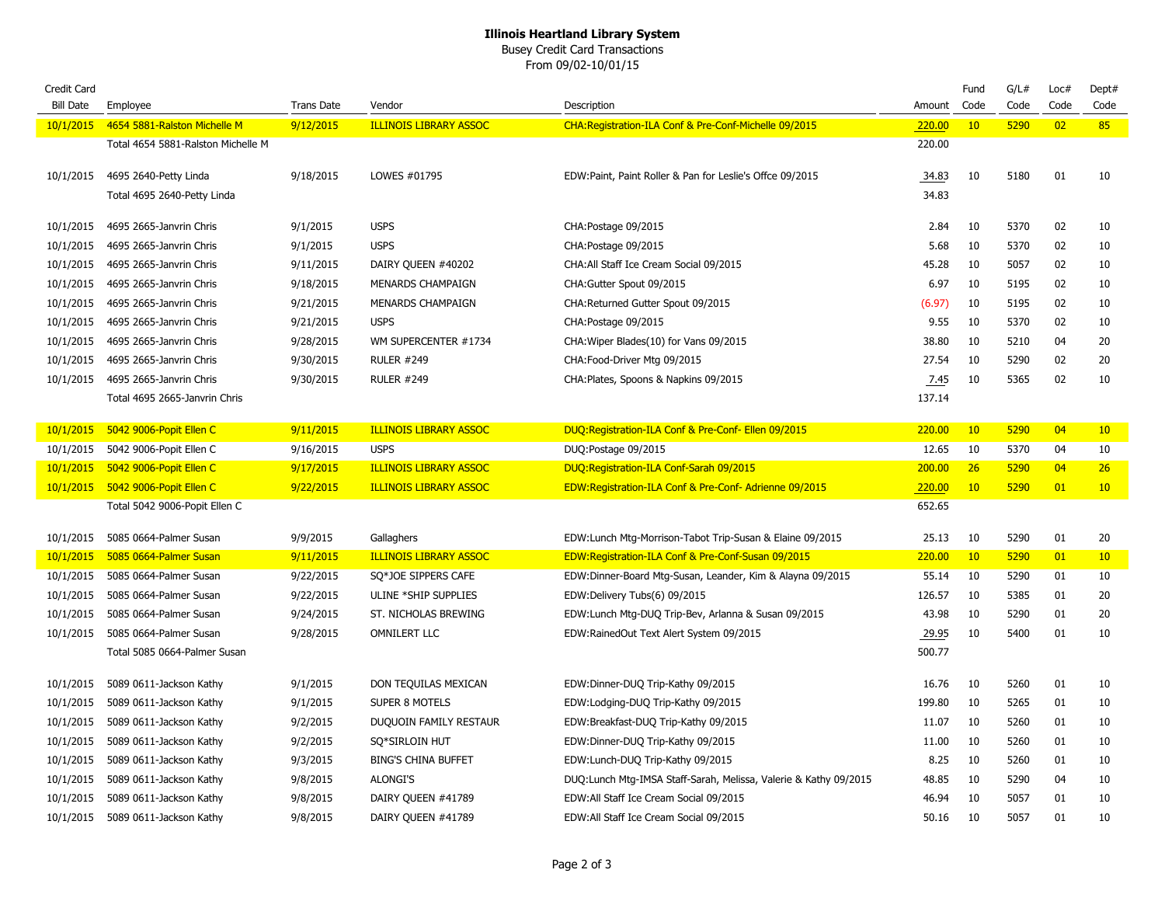## **Illinois Heartland Library System**

Busey Credit Card Transactions From 09/02-10/01/15

| Credit Card      |                                    |                   |                               |                                                                  |        | Fund | G/L# | Loc# | Dept# |
|------------------|------------------------------------|-------------------|-------------------------------|------------------------------------------------------------------|--------|------|------|------|-------|
| <b>Bill Date</b> | Employee                           | <b>Trans Date</b> | Vendor                        | Description                                                      | Amount | Code | Code | Code | Code  |
| 10/1/2015        | 4654 5881-Ralston Michelle M       | 9/12/2015         | <b>ILLINOIS LIBRARY ASSOC</b> | CHA: Registration-ILA Conf & Pre-Conf-Michelle 09/2015           | 220.00 | 10   | 5290 | 02   | 85    |
|                  | Total 4654 5881-Ralston Michelle M |                   |                               |                                                                  | 220.00 |      |      |      |       |
| 10/1/2015        | 4695 2640-Petty Linda              | 9/18/2015         | LOWES #01795                  | EDW:Paint, Paint Roller & Pan for Leslie's Offce 09/2015         | 34.83  | 10   | 5180 | 01   | 10    |
|                  | Total 4695 2640-Petty Linda        |                   |                               |                                                                  | 34.83  |      |      |      |       |
|                  |                                    |                   |                               |                                                                  |        |      |      |      |       |
| 10/1/2015        | 4695 2665-Janvrin Chris            | 9/1/2015          | <b>USPS</b>                   | CHA: Postage 09/2015                                             | 2.84   | 10   | 5370 | 02   | 10    |
| 10/1/2015        | 4695 2665-Janvrin Chris            | 9/1/2015          | <b>USPS</b>                   | CHA: Postage 09/2015                                             | 5.68   | 10   | 5370 | 02   | 10    |
| 10/1/2015        | 4695 2665-Janvrin Chris            | 9/11/2015         | DAIRY QUEEN #40202            | CHA: All Staff Ice Cream Social 09/2015                          | 45.28  | 10   | 5057 | 02   | 10    |
| 10/1/2015        | 4695 2665-Janvrin Chris            | 9/18/2015         | MENARDS CHAMPAIGN             | CHA:Gutter Spout 09/2015                                         | 6.97   | 10   | 5195 | 02   | 10    |
| 10/1/2015        | 4695 2665-Janvrin Chris            | 9/21/2015         | MENARDS CHAMPAIGN             | CHA:Returned Gutter Spout 09/2015                                | (6.97) | 10   | 5195 | 02   | 10    |
| 10/1/2015        | 4695 2665-Janvrin Chris            | 9/21/2015         | <b>USPS</b>                   | CHA:Postage 09/2015                                              | 9.55   | 10   | 5370 | 02   | 10    |
| 10/1/2015        | 4695 2665-Janvrin Chris            | 9/28/2015         | WM SUPERCENTER #1734          | CHA: Wiper Blades(10) for Vans 09/2015                           | 38.80  | 10   | 5210 | 04   | 20    |
| 10/1/2015        | 4695 2665-Janvrin Chris            | 9/30/2015         | <b>RULER #249</b>             | CHA: Food-Driver Mtg 09/2015                                     | 27.54  | 10   | 5290 | 02   | 20    |
| 10/1/2015        | 4695 2665-Janvrin Chris            | 9/30/2015         | <b>RULER #249</b>             | CHA: Plates, Spoons & Napkins 09/2015                            | 7.45   | 10   | 5365 | 02   | 10    |
|                  | Total 4695 2665-Janvrin Chris      |                   |                               |                                                                  | 137.14 |      |      |      |       |
|                  |                                    |                   |                               |                                                                  |        |      |      |      |       |
| 10/1/2015        | 5042 9006-Popit Ellen C            | 9/11/2015         | <b>ILLINOIS LIBRARY ASSOC</b> | DUQ: Registration-ILA Conf & Pre-Conf- Ellen 09/2015             | 220.00 | 10   | 5290 | 04   | 10    |
| 10/1/2015        | 5042 9006-Popit Ellen C            | 9/16/2015         | <b>USPS</b>                   | DUQ:Postage 09/2015                                              | 12.65  | 10   | 5370 | 04   | 10    |
| 10/1/2015        | 5042 9006-Popit Ellen C            | 9/17/2015         | <b>ILLINOIS LIBRARY ASSOC</b> | DUQ:Registration-ILA Conf-Sarah 09/2015                          | 200.00 | 26   | 5290 | 04   | 26    |
| 10/1/2015        | 5042 9006-Popit Ellen C            | 9/22/2015         | <b>ILLINOIS LIBRARY ASSOC</b> | EDW:Registration-ILA Conf & Pre-Conf- Adrienne 09/2015           | 220.00 | 10   | 5290 | 01   | 10    |
|                  | Total 5042 9006-Popit Ellen C      |                   |                               |                                                                  | 652.65 |      |      |      |       |
| 10/1/2015        | 5085 0664-Palmer Susan             | 9/9/2015          | Gallaghers                    | EDW:Lunch Mtg-Morrison-Tabot Trip-Susan & Elaine 09/2015         | 25.13  | 10   | 5290 | 01   | 20    |
| 10/1/2015        | 5085 0664-Palmer Susan             | 9/11/2015         | <b>ILLINOIS LIBRARY ASSOC</b> | EDW:Registration-ILA Conf & Pre-Conf-Susan 09/2015               | 220.00 | 10   | 5290 | 01   | 10    |
| 10/1/2015        | 5085 0664-Palmer Susan             | 9/22/2015         | SQ*JOE SIPPERS CAFE           | EDW:Dinner-Board Mtg-Susan, Leander, Kim & Alayna 09/2015        | 55.14  | 10   | 5290 | 01   | 10    |
| 10/1/2015        | 5085 0664-Palmer Susan             | 9/22/2015         | ULINE *SHIP SUPPLIES          | EDW:Delivery Tubs(6) 09/2015                                     | 126.57 | 10   | 5385 | 01   | 20    |
| 10/1/2015        | 5085 0664-Palmer Susan             | 9/24/2015         | ST. NICHOLAS BREWING          | EDW:Lunch Mtg-DUQ Trip-Bev, Arlanna & Susan 09/2015              | 43.98  | 10   | 5290 | 01   | 20    |
| 10/1/2015        | 5085 0664-Palmer Susan             | 9/28/2015         | <b>OMNILERT LLC</b>           | EDW:RainedOut Text Alert System 09/2015                          | 29.95  | 10   | 5400 | 01   | 10    |
|                  | Total 5085 0664-Palmer Susan       |                   |                               |                                                                  | 500.77 |      |      |      |       |
|                  |                                    |                   |                               |                                                                  |        |      |      |      |       |
| 10/1/2015        | 5089 0611-Jackson Kathy            | 9/1/2015          | DON TEQUILAS MEXICAN          | EDW:Dinner-DUQ Trip-Kathy 09/2015                                | 16.76  | 10   | 5260 | 01   | 10    |
| 10/1/2015        | 5089 0611-Jackson Kathy            | 9/1/2015          | <b>SUPER 8 MOTELS</b>         | EDW:Lodging-DUQ Trip-Kathy 09/2015                               | 199.80 | 10   | 5265 | 01   | 10    |
| 10/1/2015        | 5089 0611-Jackson Kathy            | 9/2/2015          | DUQUOIN FAMILY RESTAUR        | EDW:Breakfast-DUQ Trip-Kathy 09/2015                             | 11.07  | 10   | 5260 | 01   | 10    |
| 10/1/2015        | 5089 0611-Jackson Kathy            | 9/2/2015          | SQ*SIRLOIN HUT                | EDW:Dinner-DUQ Trip-Kathy 09/2015                                | 11.00  | 10   | 5260 | 01   | 10    |
| 10/1/2015        | 5089 0611-Jackson Kathy            | 9/3/2015          | <b>BING'S CHINA BUFFET</b>    | EDW:Lunch-DUQ Trip-Kathy 09/2015                                 | 8.25   | 10   | 5260 | 01   | 10    |
| 10/1/2015        | 5089 0611-Jackson Kathy            | 9/8/2015          | <b>ALONGI'S</b>               | DUQ:Lunch Mtg-IMSA Staff-Sarah, Melissa, Valerie & Kathy 09/2015 | 48.85  | 10   | 5290 | 04   | 10    |
| 10/1/2015        | 5089 0611-Jackson Kathy            | 9/8/2015          | DAIRY QUEEN #41789            | EDW:All Staff Ice Cream Social 09/2015                           | 46.94  | 10   | 5057 | 01   | 10    |
| 10/1/2015        | 5089 0611-Jackson Kathy            | 9/8/2015          | DAIRY QUEEN #41789            | EDW:All Staff Ice Cream Social 09/2015                           | 50.16  | 10   | 5057 | 01   | 10    |